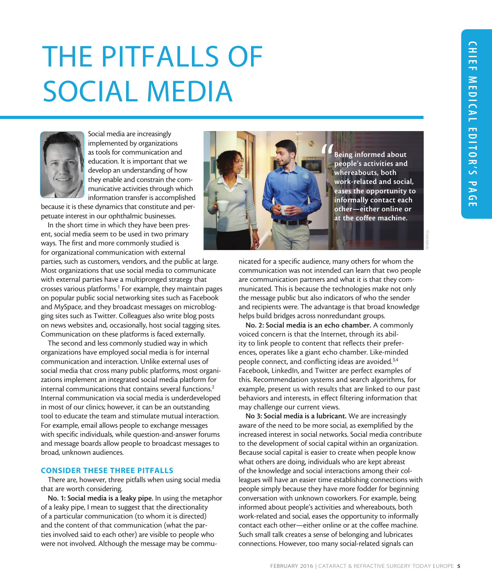©istockphoto

## THE PITFALLS OF SOCIAL MEDIA



Social media are increasingly implemented by organizations as tools for communication and education. It is important that we develop an understanding of how they enable and constrain the communicative activities through which information transfer is accomplished

because it is these dynamics that constitute and perpetuate interest in our ophthalmic businesses.

In the short time in which they have been present, social media seem to be used in two primary ways. The first and more commonly studied is for organizational communication with external

parties, such as customers, vendors, and the public at large. Most organizations that use social media to communicate with external parties have a multipronged strategy that crosses various platforms.<sup>1</sup> For example, they maintain pages on popular public social networking sites such as Facebook and MySpace, and they broadcast messages on microblogging sites such as Twitter. Colleagues also write blog posts on news websites and, occasionally, host social tagging sites. Communication on these platforms is faced externally.

The second and less commonly studied way in which organizations have employed social media is for internal communication and interaction. Unlike external uses of social media that cross many public platforms, most organizations implement an integrated social media platform for internal communications that contains several functions.<sup>2</sup> Internal communication via social media is underdeveloped in most of our clinics; however, it can be an outstanding tool to educate the team and stimulate mutual interaction. For example, email allows people to exchange messages with specific individuals, while question-and-answer forums and message boards allow people to broadcast messages to broad, unknown audiences.

## CONSIDER THESE THREE PITFALLS

There are, however, three pitfalls when using social media that are worth considering.

No. 1: Social media is a leaky pipe. In using the metaphor of a leaky pipe, I mean to suggest that the directionality of a particular communication (to whom it is directed) and the content of that communication (what the parties involved said to each other) are visible to people who were not involved. Although the message may be commu-



nicated for a specific audience, many others for whom the communication was not intended can learn that two people are communication partners and what it is that they communicated. This is because the technologies make not only the message public but also indicators of who the sender and recipients were. The advantage is that broad knowledge helps build bridges across nonredundant groups.

No. 2: Social media is an echo chamber. A commonly voiced concern is that the Internet, through its ability to link people to content that reflects their preferences, operates like a giant echo chamber. Like-minded people connect, and conflicting ideas are avoided.3,4 Facebook, LinkedIn, and Twitter are perfect examples of this. Recommendation systems and search algorithms, for example, present us with results that are linked to our past behaviors and interests, in effect filtering information that may challenge our current views.

No 3: Social media is a lubricant. We are increasingly aware of the need to be more social, as exemplified by the increased interest in social networks. Social media contribute to the development of social capital within an organization. Because social capital is easier to create when people know what others are doing, individuals who are kept abreast of the knowledge and social interactions among their colleagues will have an easier time establishing connections with people simply because they have more fodder for beginning conversation with unknown coworkers. For example, being informed about people's activities and whereabouts, both work-related and social, eases the opportunity to informally contact each other—either online or at the coffee machine. Such small talk creates a sense of belonging and lubricates connections. However, too many social-related signals can